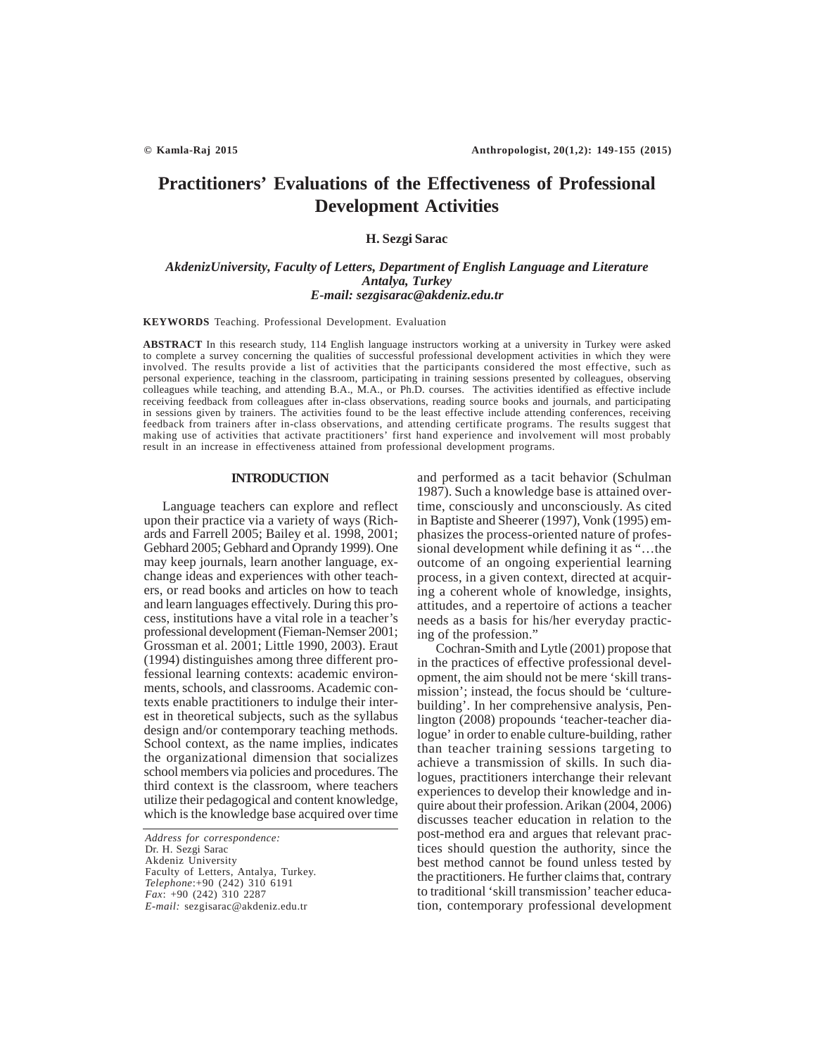# **Practitioners' Evaluations of the Effectiveness of Professional Development Activities**

# **H. Sezgi Sarac**

# *AkdenizUniversity, Faculty of Letters, Department of English Language and Literature Antalya, Turkey E-mail: sezgisarac@akdeniz.edu.tr*

**KEYWORDS** Teaching. Professional Development. Evaluation

**ABSTRACT** In this research study, 114 English language instructors working at a university in Turkey were asked to complete a survey concerning the qualities of successful professional development activities in which they were involved. The results provide a list of activities that the participants considered the most effective, such as personal experience, teaching in the classroom, participating in training sessions presented by colleagues, observing colleagues while teaching, and attending B.A., M.A., or Ph.D. courses. The activities identified as effective include receiving feedback from colleagues after in-class observations, reading source books and journals, and participating in sessions given by trainers. The activities found to be the least effective include attending conferences, receiving feedback from trainers after in-class observations, and attending certificate programs. The results suggest that making use of activities that activate practitioners' first hand experience and involvement will most probably result in an increase in effectiveness attained from professional development programs.

# **INTRODUCTION**

Language teachers can explore and reflect upon their practice via a variety of ways (Richards and Farrell 2005; Bailey et al. 1998, 2001; Gebhard 2005; Gebhard and Oprandy 1999). One may keep journals, learn another language, exchange ideas and experiences with other teachers, or read books and articles on how to teach and learn languages effectively. During this process, institutions have a vital role in a teacher's professional development (Fieman-Nemser 2001; Grossman et al. 2001; Little 1990, 2003). Eraut (1994) distinguishes among three different professional learning contexts: academic environments, schools, and classrooms. Academic contexts enable practitioners to indulge their interest in theoretical subjects, such as the syllabus design and/or contemporary teaching methods. School context, as the name implies, indicates the organizational dimension that socializes school members via policies and procedures. The third context is the classroom, where teachers utilize their pedagogical and content knowledge, which is the knowledge base acquired over time

*Address for correspondence:* Dr. H. Sezgi Sarac Akdeniz University Faculty of Letters, Antalya, Turkey. *Telephone*:+90 (242) 310 6191 *Fax*: +90 (242) 310 2287 *E-mail:* sezgisarac@akdeniz.edu.tr

and performed as a tacit behavior (Schulman 1987). Such a knowledge base is attained overtime, consciously and unconsciously. As cited in Baptiste and Sheerer (1997), Vonk (1995) emphasizes the process-oriented nature of professional development while defining it as "…the outcome of an ongoing experiential learning process, in a given context, directed at acquiring a coherent whole of knowledge, insights, attitudes, and a repertoire of actions a teacher needs as a basis for his/her everyday practicing of the profession."

Cochran-Smith and Lytle (2001) propose that in the practices of effective professional development, the aim should not be mere 'skill transmission'; instead, the focus should be 'culturebuilding'. In her comprehensive analysis, Penlington (2008) propounds 'teacher-teacher dialogue' in order to enable culture-building, rather than teacher training sessions targeting to achieve a transmission of skills. In such dialogues, practitioners interchange their relevant experiences to develop their knowledge and inquire about their profession. Arikan (2004, 2006) discusses teacher education in relation to the post-method era and argues that relevant practices should question the authority, since the best method cannot be found unless tested by the practitioners. He further claims that, contrary to traditional 'skill transmission' teacher education, contemporary professional development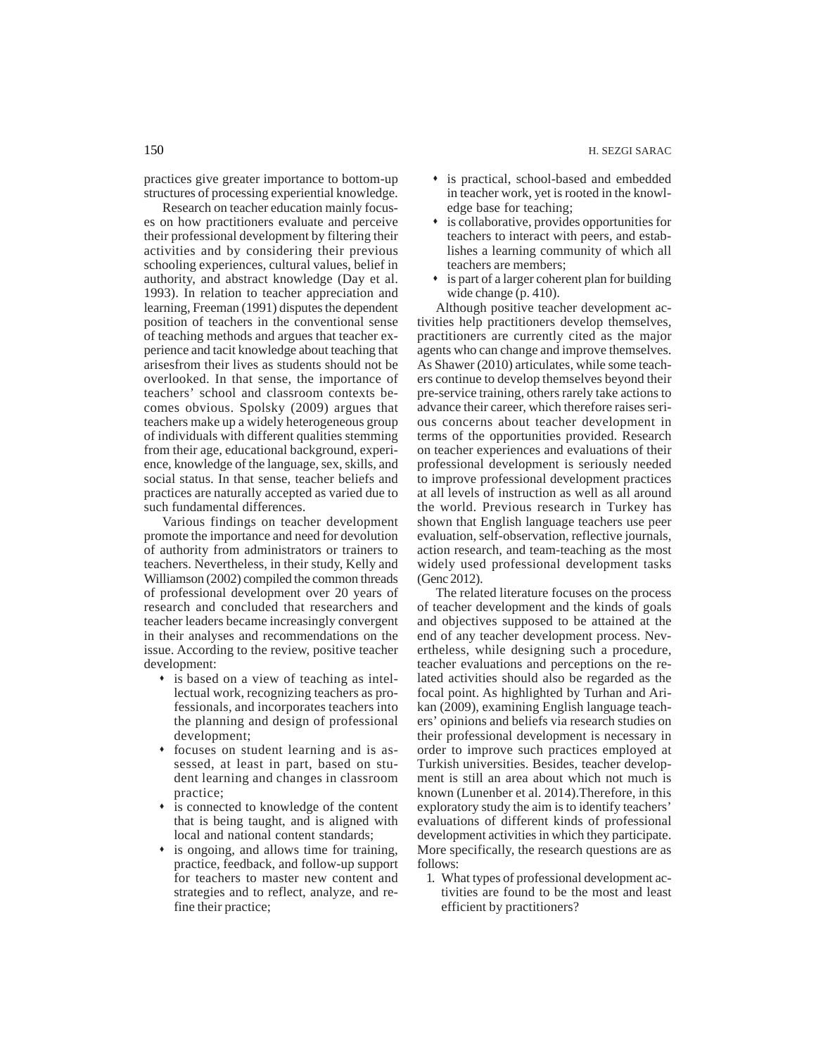practices give greater importance to bottom-up structures of processing experiential knowledge.

Research on teacher education mainly focuses on how practitioners evaluate and perceive their professional development by filtering their activities and by considering their previous schooling experiences, cultural values, belief in authority, and abstract knowledge (Day et al. 1993). In relation to teacher appreciation and learning, Freeman (1991) disputes the dependent position of teachers in the conventional sense of teaching methods and argues that teacher experience and tacit knowledge about teaching that arisesfrom their lives as students should not be overlooked. In that sense, the importance of teachers' school and classroom contexts becomes obvious. Spolsky (2009) argues that teachers make up a widely heterogeneous group of individuals with different qualities stemming from their age, educational background, experience, knowledge of the language, sex, skills, and social status. In that sense, teacher beliefs and practices are naturally accepted as varied due to such fundamental differences.

Various findings on teacher development promote the importance and need for devolution of authority from administrators or trainers to teachers. Nevertheless, in their study, Kelly and Williamson (2002) compiled the common threads of professional development over 20 years of research and concluded that researchers and teacher leaders became increasingly convergent in their analyses and recommendations on the issue. According to the review, positive teacher development:

- is based on a view of teaching as intellectual work, recognizing teachers as professionals, and incorporates teachers into the planning and design of professional development;
- focuses on student learning and is assessed, at least in part, based on student learning and changes in classroom practice;
- is connected to knowledge of the content that is being taught, and is aligned with local and national content standards;
- $\bullet$  is ongoing, and allows time for training, practice, feedback, and follow-up support for teachers to master new content and strategies and to reflect, analyze, and refine their practice;
- is practical, school-based and embedded in teacher work, yet is rooted in the knowledge base for teaching;
- is collaborative, provides opportunities for teachers to interact with peers, and establishes a learning community of which all teachers are members;
- is part of a larger coherent plan for building wide change (p. 410).

Although positive teacher development activities help practitioners develop themselves, practitioners are currently cited as the major agents who can change and improve themselves. As Shawer (2010) articulates, while some teachers continue to develop themselves beyond their pre-service training, others rarely take actions to advance their career, which therefore raises serious concerns about teacher development in terms of the opportunities provided. Research on teacher experiences and evaluations of their professional development is seriously needed to improve professional development practices at all levels of instruction as well as all around the world. Previous research in Turkey has shown that English language teachers use peer evaluation, self-observation, reflective journals, action research, and team-teaching as the most widely used professional development tasks (Genc 2012).

The related literature focuses on the process of teacher development and the kinds of goals and objectives supposed to be attained at the end of any teacher development process. Nevertheless, while designing such a procedure, teacher evaluations and perceptions on the related activities should also be regarded as the focal point. As highlighted by Turhan and Arikan (2009), examining English language teachers' opinions and beliefs via research studies on their professional development is necessary in order to improve such practices employed at Turkish universities. Besides, teacher development is still an area about which not much is known (Lunenber et al. 2014).Therefore, in this exploratory study the aim is to identify teachers' evaluations of different kinds of professional development activities in which they participate. More specifically, the research questions are as follows:

1. What types of professional development activities are found to be the most and least efficient by practitioners?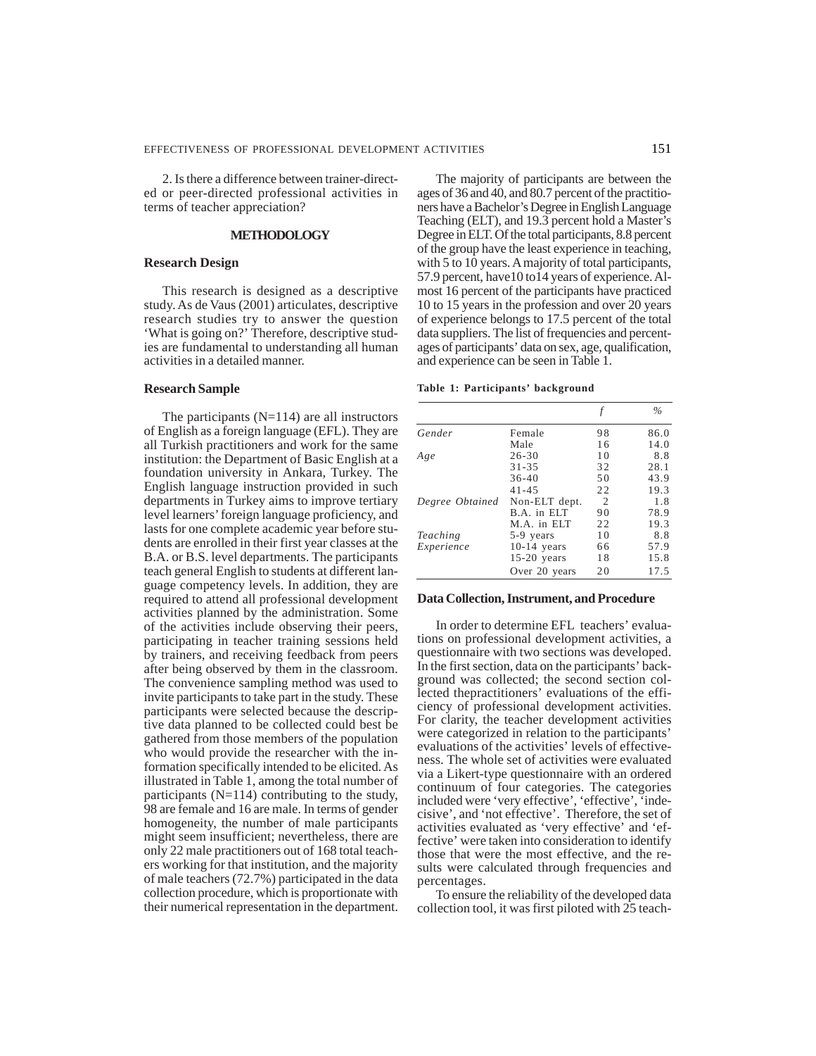2. Is there a difference between trainer-directed or peer-directed professional activities in terms of teacher appreciation?

#### **METHODOLOGY**

## **Research Design**

This research is designed as a descriptive study. As de Vaus (2001) articulates, descriptive research studies try to answer the question 'What is going on?' Therefore, descriptive studies are fundamental to understanding all human activities in a detailed manner.

## **Research Sample**

The participants  $(N=114)$  are all instructors of English as a foreign language (EFL). They are all Turkish practitioners and work for the same institution: the Department of Basic English at a foundation university in Ankara, Turkey. The English language instruction provided in such departments in Turkey aims to improve tertiary level learners' foreign language proficiency, and lasts for one complete academic year before students are enrolled in their first year classes at the B.A. or B.S. level departments. The participants teach general English to students at different language competency levels. In addition, they are required to attend all professional development activities planned by the administration. Some of the activities include observing their peers, participating in teacher training sessions held by trainers, and receiving feedback from peers after being observed by them in the classroom. The convenience sampling method was used to invite participants to take part in the study. These participants were selected because the descriptive data planned to be collected could best be gathered from those members of the population who would provide the researcher with the information specifically intended to be elicited. As illustrated in Table 1, among the total number of participants  $(N=114)$  contributing to the study, 98 are female and 16 are male. In terms of gender homogeneity, the number of male participants might seem insufficient; nevertheless, there are only 22 male practitioners out of 168 total teachers working for that institution, and the majority of male teachers (72.7%) participated in the data collection procedure, which is proportionate with their numerical representation in the department.

The majority of participants are between the ages of 36 and 40, and 80.7 percent of the practitioners have a Bachelor's Degree in English Language Teaching (ELT), and 19.3 percent hold a Master's Degree in ELT. Of the total participants, 8.8 percent of the group have the least experience in teaching, with 5 to 10 years. A majority of total participants, 57.9 percent, have10 to14 years of experience. Almost 16 percent of the participants have practiced 10 to 15 years in the profession and over 20 years of experience belongs to 17.5 percent of the total data suppliers. The list of frequencies and percentages of participants' data on sex, age, qualification, and experience can be seen in Table 1.

**Table 1: Participants' background**

|                 |               |                | $\%$ |
|-----------------|---------------|----------------|------|
| Gender          | Female        | 98             | 86.0 |
|                 | Male          | 16             | 14.0 |
| Age             | $26 - 30$     | 10             | 8.8  |
|                 | $31 - 35$     | 32             | 28.1 |
|                 | $36 - 40$     | 50             | 43.9 |
|                 | $41 - 45$     | 22             | 19.3 |
| Degree Obtained | Non-ELT dept. | $\overline{2}$ | 1.8  |
|                 | B.A. in ELT   | 90             | 78.9 |
|                 | M.A. in ELT   | 22             | 19.3 |
| Teaching        | 5-9 years     | 10             | 8.8  |
| Experience      | $10-14$ years | 66             | 57.9 |
|                 | $15-20$ years | 18             | 15.8 |
|                 | Over 20 years | 20             | 17.5 |

#### **Data Collection, Instrument, and Procedure**

In order to determine EFL teachers' evaluations on professional development activities, a questionnaire with two sections was developed. In the first section, data on the participants' background was collected; the second section collected thepractitioners' evaluations of the efficiency of professional development activities. For clarity, the teacher development activities were categorized in relation to the participants' evaluations of the activities' levels of effectiveness. The whole set of activities were evaluated via a Likert-type questionnaire with an ordered continuum of four categories. The categories included were 'very effective', 'effective', 'indecisive', and 'not effective'. Therefore, the set of activities evaluated as 'very effective' and 'effective' were taken into consideration to identify those that were the most effective, and the results were calculated through frequencies and percentages.

To ensure the reliability of the developed data collection tool, it was first piloted with 25 teach-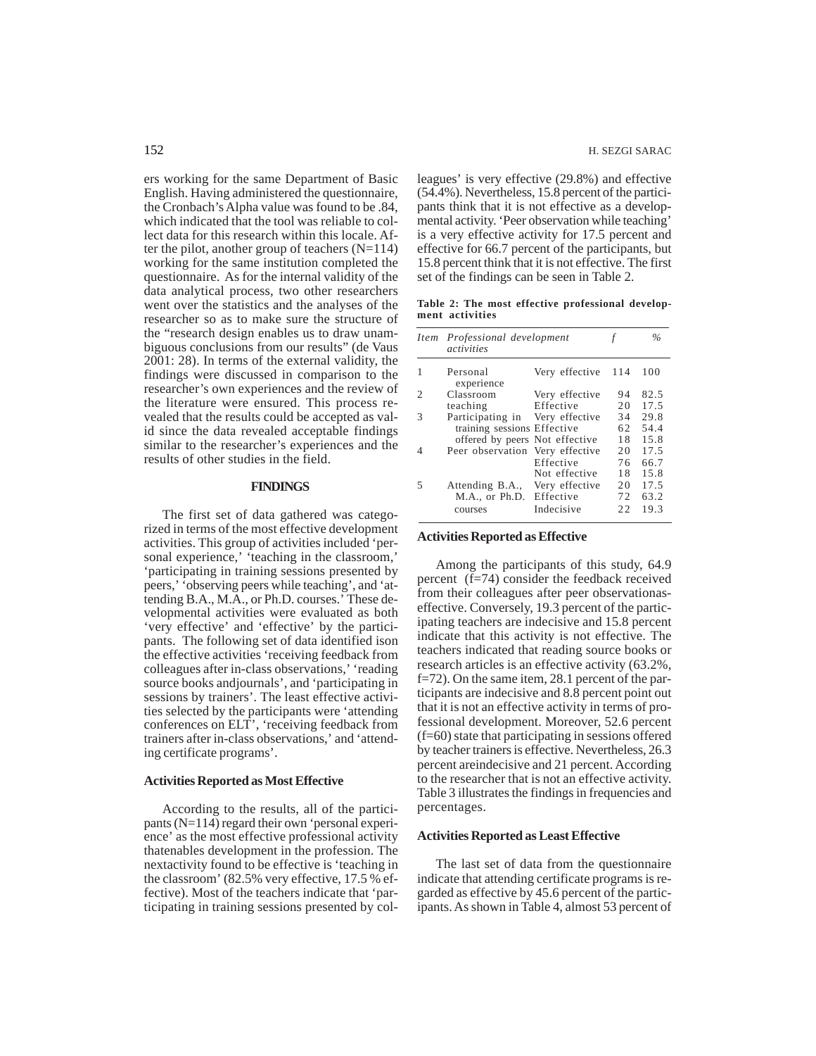#### 152 H. SEZGI SARAC

ers working for the same Department of Basic English. Having administered the questionnaire, the Cronbach's Alpha value was found to be .84, which indicated that the tool was reliable to collect data for this research within this locale. After the pilot, another group of teachers  $(N=114)$ working for the same institution completed the questionnaire. As for the internal validity of the data analytical process, two other researchers went over the statistics and the analyses of the researcher so as to make sure the structure of the "research design enables us to draw unambiguous conclusions from our results" (de Vaus 2001: 28). In terms of the external validity, the findings were discussed in comparison to the researcher's own experiences and the review of the literature were ensured. This process revealed that the results could be accepted as valid since the data revealed acceptable findings similar to the researcher's experiences and the results of other studies in the field.

#### **FINDINGS**

The first set of data gathered was categorized in terms of the most effective development activities. This group of activities included 'personal experience,' 'teaching in the classroom,' 'participating in training sessions presented by peers,' 'observing peers while teaching', and 'attending B.A., M.A., or Ph.D. courses.' These developmental activities were evaluated as both 'very effective' and 'effective' by the participants. The following set of data identified ison the effective activities 'receiving feedback from colleagues after in-class observations,' 'reading source books andjournals', and 'participating in sessions by trainers'. The least effective activities selected by the participants were 'attending conferences on ELT', 'receiving feedback from trainers after in-class observations,' and 'attending certificate programs'.

#### **Activities Reported as Most Effective**

According to the results, all of the participants (N=114) regard their own 'personal experience' as the most effective professional activity thatenables development in the profession. The nextactivity found to be effective is 'teaching in the classroom' (82.5% very effective, 17.5 % effective). Most of the teachers indicate that 'participating in training sessions presented by colleagues' is very effective (29.8%) and effective (54.4%). Nevertheless, 15.8 percent of the participants think that it is not effective as a developmental activity. 'Peer observation while teaching' is a very effective activity for 17.5 percent and effective for 66.7 percent of the participants, but 15.8 percent think that it is not effective. The first set of the findings can be seen in Table 2.

**Table 2: The most effective professional development activities**

| <i>Item</i> | Professional development<br>activities                        |                                           |                  | $\frac{0}{6}$        |
|-------------|---------------------------------------------------------------|-------------------------------------------|------------------|----------------------|
| 1           | Personal<br>experience                                        | Very effective 114                        |                  | 100                  |
| 2           | Classroom                                                     | Very effective                            | 94               | 82.5                 |
|             | teaching                                                      | Effective                                 | 20               | 17.5                 |
| 3           | Participating in                                              | Very effective                            | 34               | 29.8                 |
|             | training sessions Effective<br>offered by peers Not effective |                                           | 62<br>18         | 54.4<br>15.8         |
| 4           | Peer observation Very effective                               |                                           | 20               | 17.5                 |
|             |                                                               | Effective                                 | 76               | 66.7                 |
|             |                                                               | Not effective                             | 18               | 15.8                 |
| 5           | Attending B.A.,<br>M.A., or Ph.D.<br>courses                  | Very effective<br>Effective<br>Indecisive | 20<br>72<br>2.2. | 17.5<br>63.2<br>19.3 |
|             |                                                               |                                           |                  |                      |

## **Activities Reported as Effective**

Among the participants of this study, 64.9 percent (f=74) consider the feedback received from their colleagues after peer observationaseffective. Conversely, 19.3 percent of the participating teachers are indecisive and 15.8 percent indicate that this activity is not effective. The teachers indicated that reading source books or research articles is an effective activity (63.2%, f=72). On the same item, 28.1 percent of the participants are indecisive and 8.8 percent point out that it is not an effective activity in terms of professional development. Moreover, 52.6 percent (f=60) state that participating in sessions offered by teacher trainers is effective. Nevertheless, 26.3 percent areindecisive and 21 percent. According to the researcher that is not an effective activity. Table 3 illustrates the findings in frequencies and percentages.

# **Activities Reported as Least Effective**

The last set of data from the questionnaire indicate that attending certificate programs is regarded as effective by 45.6 percent of the participants. As shown in Table 4, almost 53 percent of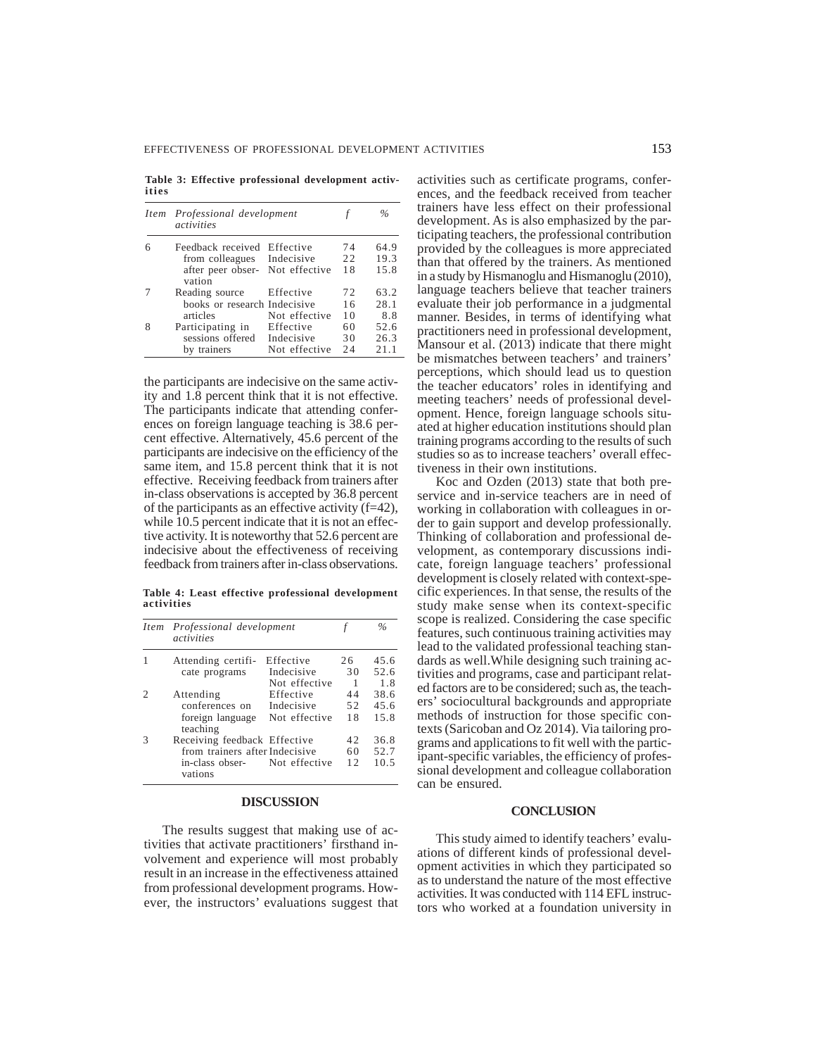**Table 3: Effective professional development activities**

| <i>Item</i> | Professional development<br>activities    |               |     | $\%$ |
|-------------|-------------------------------------------|---------------|-----|------|
|             | Feedback received Effective               |               | 74  | 64.9 |
|             | from colleagues Indecisive                |               | 22  | 19.3 |
|             | after peer obser- Not effective<br>vation |               | 18  | 15.8 |
|             | Reading source                            | Effective     | 72  | 63.2 |
|             | books or research Indecisive              |               | 16  | 28.1 |
|             | articles                                  | Not effective | 10  | 8.8  |
|             | Participating in                          | Effective     | 60  | 52.6 |
|             | sessions offered                          | Indecisive    | 30  | 26.3 |
|             | by trainers                               | Not effective | 2.4 | 21.1 |

the participants are indecisive on the same activity and 1.8 percent think that it is not effective. The participants indicate that attending conferences on foreign language teaching is 38.6 percent effective. Alternatively, 45.6 percent of the participants are indecisive on the efficiency of the same item, and 15.8 percent think that it is not effective. Receiving feedback from trainers after in-class observations is accepted by 36.8 percent of the participants as an effective activity (f=42), while 10.5 percent indicate that it is not an effective activity. It is noteworthy that 52.6 percent are indecisive about the effectiveness of receiving feedback from trainers after in-class observations.

**Table 4: Least effective professional development activities**

| <i>Item</i> | Professional development<br>activities |               |     | $\frac{0}{0}$ |
|-------------|----------------------------------------|---------------|-----|---------------|
|             | Attending certifi-                     | Effective     | 26  | 45.6          |
|             | cate programs                          | Indecisive    | 30  | 52.6          |
|             |                                        | Not effective | 1   | 1.8           |
|             | Attending                              | Effective     | 44  | 38.6          |
|             | conferences on                         | Indecisive    | 52  | 45.6          |
|             | foreign language<br>teaching           | Not effective | 18  | 15.8          |
|             | Receiving feedback Effective           |               | 42  | 36.8          |
|             | from trainers after Indecisive         |               | 60  | 52.7          |
|             | in-class obser-<br>vations             | Not effective | 12. | 10.5          |

#### **DISCUSSION**

The results suggest that making use of activities that activate practitioners' firsthand involvement and experience will most probably result in an increase in the effectiveness attained from professional development programs. However, the instructors' evaluations suggest that

activities such as certificate programs, conferences, and the feedback received from teacher trainers have less effect on their professional development. As is also emphasized by the participating teachers, the professional contribution provided by the colleagues is more appreciated than that offered by the trainers. As mentioned in a study by Hismanoglu and Hismanoglu (2010), language teachers believe that teacher trainers evaluate their job performance in a judgmental manner. Besides, in terms of identifying what practitioners need in professional development, Mansour et al. (2013) indicate that there might be mismatches between teachers' and trainers' perceptions, which should lead us to question the teacher educators' roles in identifying and meeting teachers' needs of professional development. Hence, foreign language schools situated at higher education institutions should plan training programs according to the results of such studies so as to increase teachers' overall effectiveness in their own institutions.

Koc and Ozden (2013) state that both preservice and in-service teachers are in need of working in collaboration with colleagues in order to gain support and develop professionally. Thinking of collaboration and professional development, as contemporary discussions indicate, foreign language teachers' professional development is closely related with context-specific experiences. In that sense, the results of the study make sense when its context-specific scope is realized. Considering the case specific features, such continuous training activities may lead to the validated professional teaching standards as well.While designing such training activities and programs, case and participant related factors are to be considered; such as, the teachers' sociocultural backgrounds and appropriate methods of instruction for those specific contexts (Saricoban and Oz 2014). Via tailoring programs and applications to fit well with the participant-specific variables, the efficiency of professional development and colleague collaboration can be ensured.

#### **CONCLUSION**

This study aimed to identify teachers' evaluations of different kinds of professional development activities in which they participated so as to understand the nature of the most effective activities. It was conducted with 114 EFL instructors who worked at a foundation university in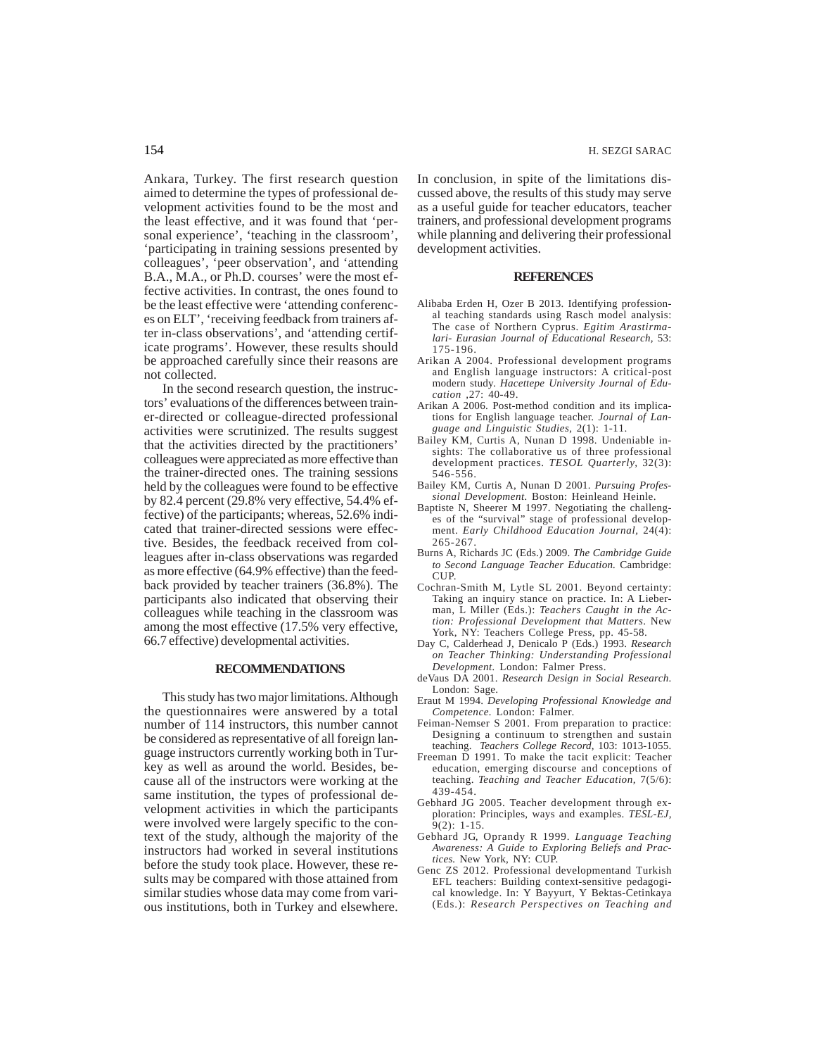Ankara, Turkey. The first research question aimed to determine the types of professional development activities found to be the most and the least effective, and it was found that 'personal experience', 'teaching in the classroom', 'participating in training sessions presented by colleagues', 'peer observation', and 'attending B.A., M.A., or Ph.D. courses' were the most effective activities. In contrast, the ones found to be the least effective were 'attending conferences on ELT', 'receiving feedback from trainers after in-class observations', and 'attending certificate programs'. However, these results should be approached carefully since their reasons are not collected.

In the second research question, the instructors' evaluations of the differences between trainer-directed or colleague-directed professional activities were scrutinized. The results suggest that the activities directed by the practitioners' colleagues were appreciated as more effective than the trainer-directed ones. The training sessions held by the colleagues were found to be effective by 82.4 percent (29.8% very effective, 54.4% effective) of the participants; whereas, 52.6% indicated that trainer-directed sessions were effective. Besides, the feedback received from colleagues after in-class observations was regarded as more effective (64.9% effective) than the feedback provided by teacher trainers (36.8%). The participants also indicated that observing their colleagues while teaching in the classroom was among the most effective (17.5% very effective, 66.7 effective) developmental activities.

## **RECOMMENDATIONS**

This study has two major limitations. Although the questionnaires were answered by a total number of 114 instructors, this number cannot be considered as representative of all foreign language instructors currently working both in Turkey as well as around the world. Besides, because all of the instructors were working at the same institution, the types of professional development activities in which the participants were involved were largely specific to the context of the study, although the majority of the instructors had worked in several institutions before the study took place. However, these results may be compared with those attained from similar studies whose data may come from various institutions, both in Turkey and elsewhere.

In conclusion, in spite of the limitations discussed above, the results of this study may serve as a useful guide for teacher educators, teacher trainers, and professional development programs while planning and delivering their professional development activities.

#### **REFERENCES**

- Alibaba Erden H, Ozer B 2013. Identifying professional teaching standards using Rasch model analysis: The case of Northern Cyprus. *Egitim Arastirmalari- Eurasian Journal of Educational Research,* 53: 175-196.
- Arikan A 2004. Professional development programs and English language instructors: A critical-post modern study. *Hacettepe University Journal of Education ,*27: 40-49.
- Arikan A 2006. Post-method condition and its implications for English language teacher. *Journal of Language and Linguistic Studies,* 2(1): 1-11.
- Bailey KM, Curtis A, Nunan D 1998. Undeniable insights: The collaborative us of three professional development practices. *TESOL Quarterly,* 32(3): 546-556.
- Bailey KM, Curtis A, Nunan D 2001. *Pursuing Professional Development.* Boston: Heinleand Heinle.
- Baptiste N, Sheerer M 1997. Negotiating the challenges of the "survival" stage of professional development. *Early Childhood Education Journal,* 24(4): 265-267.
- Burns A, Richards JC (Eds.) 2009. *The Cambridge Guide to Second Language Teacher Education.* Cambridge: CUP.
- Cochran-Smith M, Lytle SL 2001. Beyond certainty: Taking an inquiry stance on practice. In: A Lieberman, L Miller (Eds.): *Teachers Caught in the Action: Professional Development that Matters*. New York, NY: Teachers College Press, pp. 45-58.
- Day C, Calderhead J, Denicalo P (Eds.) 1993. *Research on Teacher Thinking: Understanding Professional Development.* London: Falmer Press.
- deVaus DA 2001. *Research Design in Social Research*. London: Sage.
- Eraut M 1994. *Developing Professional Knowledge and Competence.* London: Falmer.
- Feiman-Nemser S 2001. From preparation to practice: Designing a continuum to strengthen and sustain teaching. *Teachers College Record,* 103: 1013-1055.
- Freeman D 1991. To make the tacit explicit: Teacher education, emerging discourse and conceptions of teaching. *Teaching and Teacher Education,* 7(5/6): 439-454.
- Gebhard JG 2005. Teacher development through exploration: Principles, ways and examples. *TESL-EJ,* 9(2): 1-15.
- Gebhard JG, Oprandy R 1999. *Language Teaching Awareness: A Guide to Exploring Beliefs and Practices.* New York, NY: CUP.
- Genc ZS 2012. Professional developmentand Turkish EFL teachers: Building context-sensitive pedagogical knowledge. In: Y Bayyurt, Y Bektas-Cetinkaya (Eds.): *Research Perspectives on Teaching and*